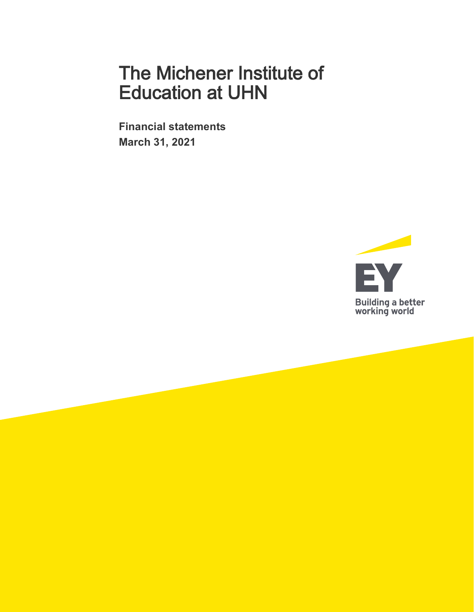**Financial statements March 31, 2021** 

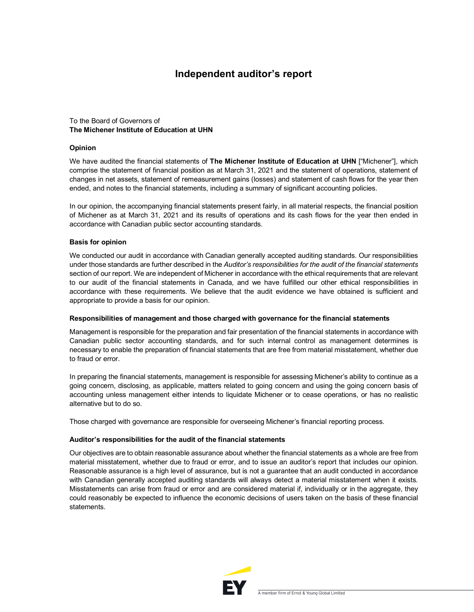# **Independent auditor's report**

### To the Board of Governors of **The Michener Institute of Education at UHN**

#### **Opinion**

We have audited the financial statements of **The Michener Institute of Education at UHN** ["Michener"], which comprise the statement of financial position as at March 31, 2021 and the statement of operations, statement of changes in net assets, statement of remeasurement gains (losses) and statement of cash flows for the year then ended, and notes to the financial statements, including a summary of significant accounting policies.

In our opinion, the accompanying financial statements present fairly, in all material respects, the financial position of Michener as at March 31, 2021 and its results of operations and its cash flows for the year then ended in accordance with Canadian public sector accounting standards.

### **Basis for opinion**

We conducted our audit in accordance with Canadian generally accepted auditing standards. Our responsibilities under those standards are further described in the *Auditor's responsibilities for the audit of the financial statements*  section of our report. We are independent of Michener in accordance with the ethical requirements that are relevant to our audit of the financial statements in Canada, and we have fulfilled our other ethical responsibilities in accordance with these requirements. We believe that the audit evidence we have obtained is sufficient and appropriate to provide a basis for our opinion.

### **Responsibilities of management and those charged with governance for the financial statements**

Management is responsible for the preparation and fair presentation of the financial statements in accordance with Canadian public sector accounting standards, and for such internal control as management determines is necessary to enable the preparation of financial statements that are free from material misstatement, whether due to fraud or error.

In preparing the financial statements, management is responsible for assessing Michener's ability to continue as a going concern, disclosing, as applicable, matters related to going concern and using the going concern basis of accounting unless management either intends to liquidate Michener or to cease operations, or has no realistic alternative but to do so.

Those charged with governance are responsible for overseeing Michener's financial reporting process.

#### **Auditor's responsibilities for the audit of the financial statements**

Our objectives are to obtain reasonable assurance about whether the financial statements as a whole are free from material misstatement, whether due to fraud or error, and to issue an auditor's report that includes our opinion. Reasonable assurance is a high level of assurance, but is not a guarantee that an audit conducted in accordance with Canadian generally accepted auditing standards will always detect a material misstatement when it exists. Misstatements can arise from fraud or error and are considered material if, individually or in the aggregate, they could reasonably be expected to influence the economic decisions of users taken on the basis of these financial statements.

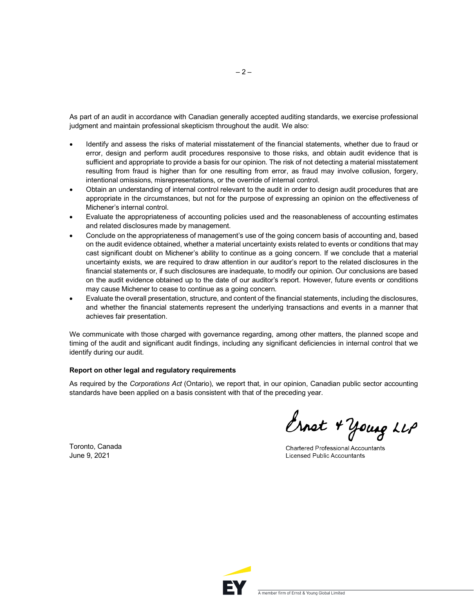As part of an audit in accordance with Canadian generally accepted auditing standards, we exercise professional judgment and maintain professional skepticism throughout the audit. We also:

- Identify and assess the risks of material misstatement of the financial statements, whether due to fraud or error, design and perform audit procedures responsive to those risks, and obtain audit evidence that is sufficient and appropriate to provide a basis for our opinion. The risk of not detecting a material misstatement resulting from fraud is higher than for one resulting from error, as fraud may involve collusion, forgery, intentional omissions, misrepresentations, or the override of internal control.
- Obtain an understanding of internal control relevant to the audit in order to design audit procedures that are appropriate in the circumstances, but not for the purpose of expressing an opinion on the effectiveness of Michener's internal control.
- Evaluate the appropriateness of accounting policies used and the reasonableness of accounting estimates and related disclosures made by management.
- Conclude on the appropriateness of management's use of the going concern basis of accounting and, based on the audit evidence obtained, whether a material uncertainty exists related to events or conditions that may cast significant doubt on Michener's ability to continue as a going concern. If we conclude that a material uncertainty exists, we are required to draw attention in our auditor's report to the related disclosures in the financial statements or, if such disclosures are inadequate, to modify our opinion. Our conclusions are based on the audit evidence obtained up to the date of our auditor's report. However, future events or conditions may cause Michener to cease to continue as a going concern.
- Evaluate the overall presentation, structure, and content of the financial statements, including the disclosures, and whether the financial statements represent the underlying transactions and events in a manner that achieves fair presentation.

We communicate with those charged with governance regarding, among other matters, the planned scope and timing of the audit and significant audit findings, including any significant deficiencies in internal control that we identify during our audit.

### **Report on other legal and regulatory requirements**

As required by the *Corporations Act* (Ontario), we report that, in our opinion, Canadian public sector accounting standards have been applied on a basis consistent with that of the preceding year.

Toronto, Canada June 9, 2021

Ernet + Young LLP

**Chartered Professional Accountants Licensed Public Accountants** 

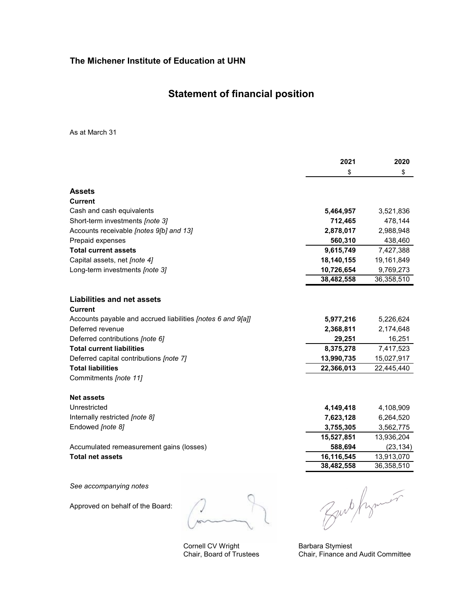# **Statement of financial position**

As at March 31

|                                                                    | 2021       | 2020       |
|--------------------------------------------------------------------|------------|------------|
|                                                                    | \$         | \$         |
| <b>Assets</b>                                                      |            |            |
| Current                                                            |            |            |
| Cash and cash equivalents                                          | 5,464,957  | 3,521,836  |
| Short-term investments [note 3]                                    | 712,465    | 478,144    |
| Accounts receivable [notes 9[b] and 13]                            | 2,878,017  | 2,988,948  |
| Prepaid expenses                                                   | 560,310    | 438,460    |
| <b>Total current assets</b>                                        | 9,615,749  | 7,427,388  |
| Capital assets, net [note 4]                                       | 18,140,155 | 19,161,849 |
| Long-term investments [note 3]                                     | 10,726,654 | 9,769,273  |
|                                                                    | 38,482,558 | 36,358,510 |
| <b>Liabilities and net assets</b>                                  |            |            |
| Current                                                            |            |            |
| Accounts payable and accrued liabilities <i>[notes 6 and 9[a]]</i> | 5,977,216  | 5,226,624  |
| Deferred revenue                                                   | 2,368,811  | 2,174,648  |
| Deferred contributions [note 6]                                    | 29,251     | 16,251     |
| <b>Total current liabilities</b>                                   | 8,375,278  | 7,417,523  |
| Deferred capital contributions [note 7]                            | 13,990,735 | 15,027,917 |
| <b>Total liabilities</b>                                           | 22,366,013 | 22,445,440 |
| Commitments [note 11]                                              |            |            |
| <b>Net assets</b>                                                  |            |            |
| Unrestricted                                                       | 4,149,418  | 4,108,909  |
| Internally restricted [note 8]                                     | 7,623,128  | 6,264,520  |
| Endowed [note 8]                                                   | 3,755,305  | 3,562,775  |
|                                                                    | 15,527,851 | 13,936,204 |
| Accumulated remeasurement gains (losses)                           | 588,694    | (23, 134)  |
| <b>Total net assets</b>                                            | 16,116,545 | 13,913,070 |
|                                                                    | 38,482,558 | 36,358,510 |
| See accompanying notes                                             |            |            |

Approved on behalf of the Board:

Cornell CV Wright Chair, Board of Trustees

Bub frymer

Barbara Stymiest Chair, Finance and Audit Committee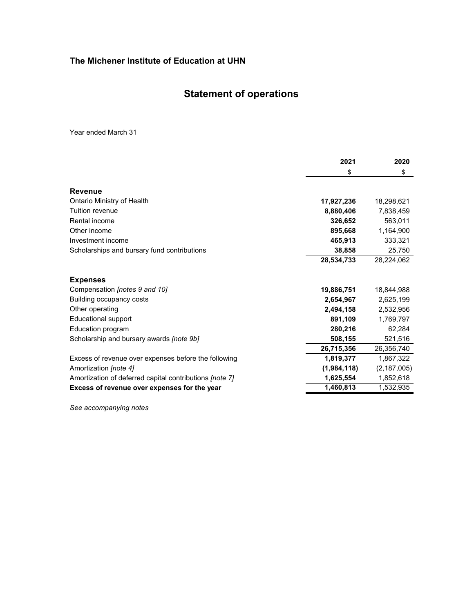# **Statement of operations**

Year ended March 31

|                                                         | 2021        | 2020          |
|---------------------------------------------------------|-------------|---------------|
|                                                         | \$          | \$            |
| Revenue                                                 |             |               |
| Ontario Ministry of Health                              | 17,927,236  | 18,298,621    |
| Tuition revenue                                         | 8,880,406   | 7,838,459     |
| Rental income                                           | 326,652     | 563,011       |
| Other income                                            | 895,668     | 1,164,900     |
| Investment income                                       | 465,913     | 333,321       |
| Scholarships and bursary fund contributions             | 38,858      | 25,750        |
|                                                         | 28,534,733  | 28,224,062    |
| <b>Expenses</b>                                         |             |               |
| Compensation [notes 9 and 10]                           | 19,886,751  | 18,844,988    |
| Building occupancy costs                                | 2,654,967   | 2,625,199     |
| Other operating                                         | 2,494,158   | 2,532,956     |
| <b>Educational support</b>                              | 891,109     | 1,769,797     |
| Education program                                       | 280,216     | 62,284        |
| Scholarship and bursary awards [note 9b]                | 508,155     | 521,516       |
|                                                         | 26,715,356  | 26,356,740    |
| Excess of revenue over expenses before the following    | 1,819,377   | 1,867,322     |
| Amortization [note 4]                                   | (1,984,118) | (2, 187, 005) |
| Amortization of deferred capital contributions [note 7] | 1,625,554   | 1,852,618     |
| Excess of revenue over expenses for the year            | 1,460,813   | 1,532,935     |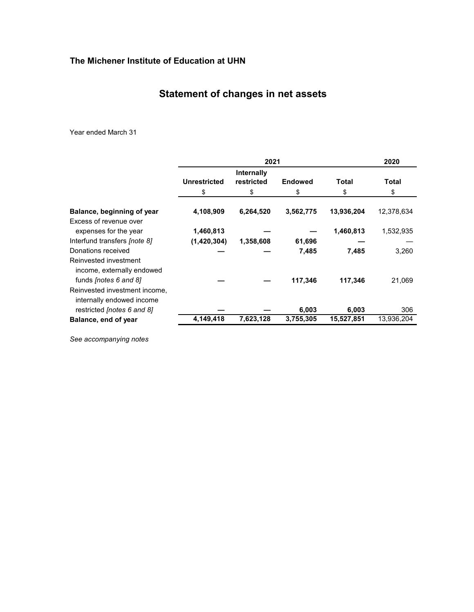# **Statement of changes in net assets**

Year ended March 31

|                                                            |                     | 2021                     |                |              | 2020         |
|------------------------------------------------------------|---------------------|--------------------------|----------------|--------------|--------------|
|                                                            | <b>Unrestricted</b> | Internally<br>restricted | <b>Endowed</b> | <b>Total</b> | <b>Total</b> |
|                                                            | \$                  | \$                       | \$             | \$           | \$           |
| Balance, beginning of year                                 | 4,108,909           | 6,264,520                | 3,562,775      | 13,936,204   | 12,378,634   |
| Excess of revenue over                                     |                     |                          |                |              |              |
| expenses for the year                                      | 1,460,813           |                          |                | 1,460,813    | 1,532,935    |
| Interfund transfers <i>[note 8]</i>                        | (1,420,304)         | 1,358,608                | 61,696         |              |              |
| Donations received                                         |                     |                          | 7,485          | 7,485        | 3,260        |
| Reinvested investment<br>income, externally endowed        |                     |                          |                |              |              |
| funds <i>[notes 6 and 8]</i>                               |                     |                          | 117,346        | 117,346      | 21,069       |
| Reinvested investment income,<br>internally endowed income |                     |                          |                |              |              |
| restricted [notes 6 and 8]                                 |                     |                          | 6,003          | 6,003        | 306          |
| Balance, end of year                                       | 4,149,418           | 7,623,128                | 3,755,305      | 15,527,851   | 13,936,204   |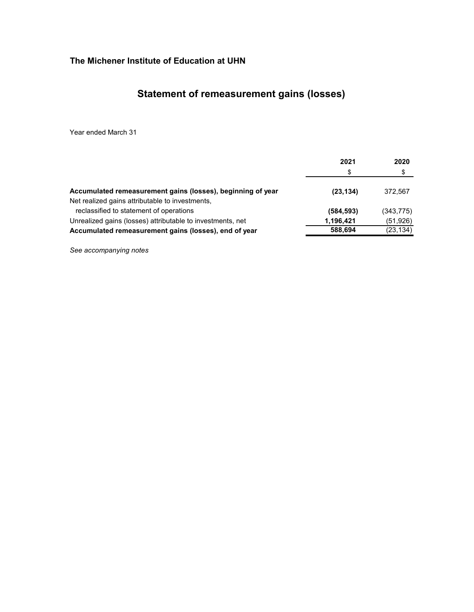# **Statement of remeasurement gains (losses)**

Year ended March 31

|                                                             | 2021      | 2020       |
|-------------------------------------------------------------|-----------|------------|
|                                                             | S         | \$         |
| Accumulated remeasurement gains (losses), beginning of year | (23, 134) | 372.567    |
| Net realized gains attributable to investments,             |           |            |
| reclassified to statement of operations                     | (584,593) | (343, 775) |
| Unrealized gains (losses) attributable to investments, net  | 1,196,421 | (51, 926)  |
| Accumulated remeasurement gains (losses), end of year       | 588,694   | (23, 134)  |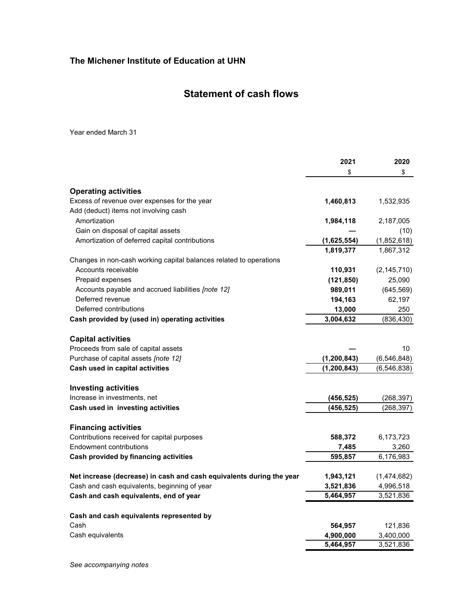# **Statement of cash flows**

Year ended March 31

|                                                                      | 2021          | 2020          |
|----------------------------------------------------------------------|---------------|---------------|
|                                                                      | \$            | \$            |
|                                                                      |               |               |
| <b>Operating activities</b>                                          |               |               |
| Excess of revenue over expenses for the year                         | 1,460,813     | 1,532,935     |
| Add (deduct) items not involving cash                                |               |               |
| Amortization                                                         | 1,984,118     | 2,187,005     |
| Gain on disposal of capital assets                                   |               | (10)          |
| Amortization of deferred capital contributions                       | (1,625,554)   | (1,852,618)   |
|                                                                      | 1,819,377     | 1,867,312     |
| Changes in non-cash working capital balances related to operations   |               |               |
| Accounts receivable                                                  | 110,931       | (2, 145, 710) |
| Prepaid expenses                                                     | (121, 850)    | 25,090        |
| Accounts payable and accrued liabilities [note 12]                   | 989,011       | (645, 569)    |
| Deferred revenue                                                     | 194,163       | 62,197        |
| Deferred contributions                                               | 13,000        | 250           |
| Cash provided by (used in) operating activities                      | 3,004,632     | (836, 430)    |
|                                                                      |               |               |
| <b>Capital activities</b>                                            |               |               |
| Proceeds from sale of capital assets                                 |               | 10            |
| Purchase of capital assets [note 12]                                 | (1, 200, 843) | (6,546,848)   |
| Cash used in capital activities                                      | (1, 200, 843) | (6, 546, 838) |
|                                                                      |               |               |
| <b>Investing activities</b>                                          |               |               |
| Increase in investments, net                                         | (456, 525)    | (268, 397)    |
| Cash used in investing activities                                    | (456,525)     | (268,397)     |
|                                                                      |               |               |
| <b>Financing activities</b>                                          |               |               |
| Contributions received for capital purposes                          | 588,372       | 6,173,723     |
| Endowment contributions                                              | 7,485         | 3,260         |
| Cash provided by financing activities                                | 595,857       | 6,176,983     |
|                                                                      |               |               |
| Net increase (decrease) in cash and cash equivalents during the year | 1,943,121     | (1,474,682)   |
| Cash and cash equivalents, beginning of year                         | 3,521,836     | 4,996,518     |
| Cash and cash equivalents, end of year                               | 5,464,957     | 3,521,836     |
|                                                                      |               |               |
| Cash and cash equivalents represented by                             |               |               |
| Cash                                                                 | 564,957       | 121,836       |
| Cash equivalents                                                     | 4,900,000     | 3,400,000     |
|                                                                      | 5,464,957     | 3,521,836     |
|                                                                      |               |               |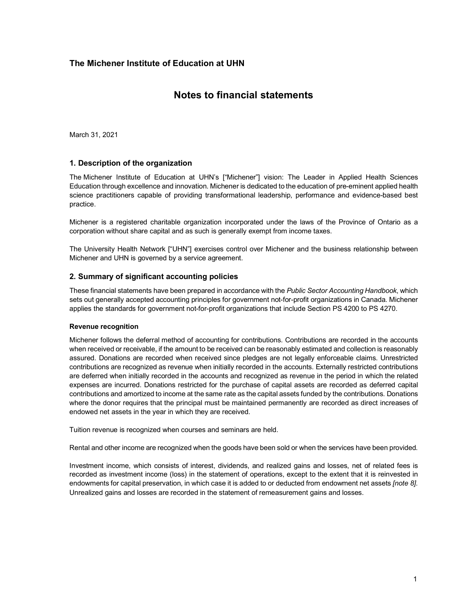# **Notes to financial statements**

March 31, 2021

### **1. Description of the organization**

The Michener Institute of Education at UHN's ["Michener"] vision: The Leader in Applied Health Sciences Education through excellence and innovation. Michener is dedicated to the education of pre-eminent applied health science practitioners capable of providing transformational leadership, performance and evidence-based best practice.

Michener is a registered charitable organization incorporated under the laws of the Province of Ontario as a corporation without share capital and as such is generally exempt from income taxes.

The University Health Network ["UHN"] exercises control over Michener and the business relationship between Michener and UHN is governed by a service agreement.

### **2. Summary of significant accounting policies**

These financial statements have been prepared in accordance with the *Public Sector Accounting Handbook*, which sets out generally accepted accounting principles for government not-for-profit organizations in Canada. Michener applies the standards for government not-for-profit organizations that include Section PS 4200 to PS 4270.

#### **Revenue recognition**

Michener follows the deferral method of accounting for contributions. Contributions are recorded in the accounts when received or receivable, if the amount to be received can be reasonably estimated and collection is reasonably assured. Donations are recorded when received since pledges are not legally enforceable claims. Unrestricted contributions are recognized as revenue when initially recorded in the accounts. Externally restricted contributions are deferred when initially recorded in the accounts and recognized as revenue in the period in which the related expenses are incurred. Donations restricted for the purchase of capital assets are recorded as deferred capital contributions and amortized to income at the same rate as the capital assets funded by the contributions. Donations where the donor requires that the principal must be maintained permanently are recorded as direct increases of endowed net assets in the year in which they are received.

Tuition revenue is recognized when courses and seminars are held.

Rental and other income are recognized when the goods have been sold or when the services have been provided.

Investment income, which consists of interest, dividends, and realized gains and losses, net of related fees is recorded as investment income (loss) in the statement of operations, except to the extent that it is reinvested in endowments for capital preservation, in which case it is added to or deducted from endowment net assets *[note 8]*. Unrealized gains and losses are recorded in the statement of remeasurement gains and losses.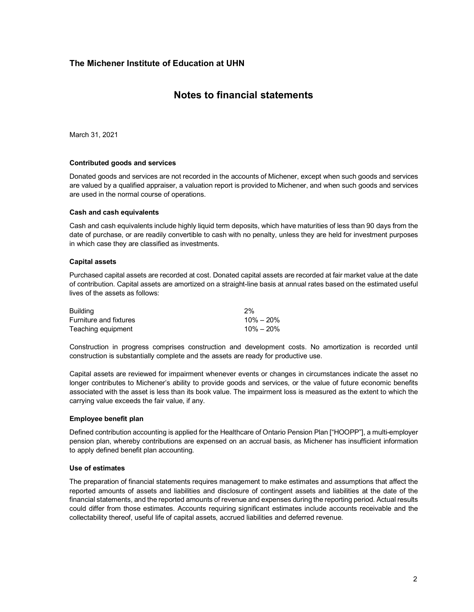### **Notes to financial statements**

March 31, 2021

#### **Contributed goods and services**

Donated goods and services are not recorded in the accounts of Michener, except when such goods and services are valued by a qualified appraiser, a valuation report is provided to Michener, and when such goods and services are used in the normal course of operations.

#### **Cash and cash equivalents**

Cash and cash equivalents include highly liquid term deposits, which have maturities of less than 90 days from the date of purchase, or are readily convertible to cash with no penalty, unless they are held for investment purposes in which case they are classified as investments.

#### **Capital assets**

Purchased capital assets are recorded at cost. Donated capital assets are recorded at fair market value at the date of contribution. Capital assets are amortized on a straight-line basis at annual rates based on the estimated useful lives of the assets as follows:

| <b>Building</b>        | 2%            |
|------------------------|---------------|
| Furniture and fixtures | $10\% - 20\%$ |
| Teaching equipment     | $10\% - 20\%$ |

Construction in progress comprises construction and development costs. No amortization is recorded until construction is substantially complete and the assets are ready for productive use.

Capital assets are reviewed for impairment whenever events or changes in circumstances indicate the asset no longer contributes to Michener's ability to provide goods and services, or the value of future economic benefits associated with the asset is less than its book value. The impairment loss is measured as the extent to which the carrying value exceeds the fair value, if any.

#### **Employee benefit plan**

Defined contribution accounting is applied for the Healthcare of Ontario Pension Plan ["HOOPP"], a multi-employer pension plan, whereby contributions are expensed on an accrual basis, as Michener has insufficient information to apply defined benefit plan accounting.

#### **Use of estimates**

The preparation of financial statements requires management to make estimates and assumptions that affect the reported amounts of assets and liabilities and disclosure of contingent assets and liabilities at the date of the financial statements, and the reported amounts of revenue and expenses during the reporting period. Actual results could differ from those estimates. Accounts requiring significant estimates include accounts receivable and the collectability thereof, useful life of capital assets, accrued liabilities and deferred revenue.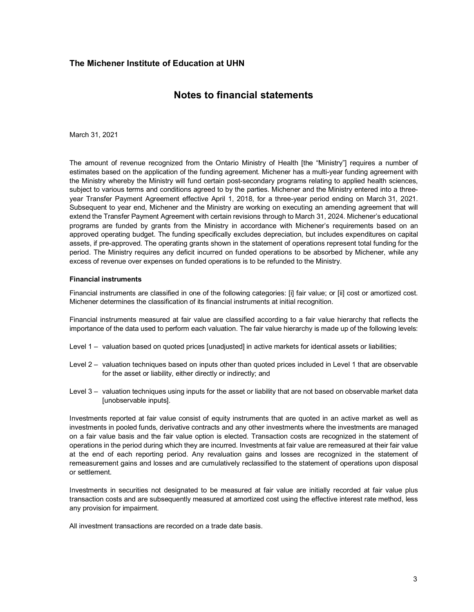# **Notes to financial statements**

March 31, 2021

The amount of revenue recognized from the Ontario Ministry of Health [the "Ministry"] requires a number of estimates based on the application of the funding agreement. Michener has a multi-year funding agreement with the Ministry whereby the Ministry will fund certain post-secondary programs relating to applied health sciences, subject to various terms and conditions agreed to by the parties. Michener and the Ministry entered into a threeyear Transfer Payment Agreement effective April 1, 2018, for a three-year period ending on March 31, 2021. Subsequent to year end, Michener and the Ministry are working on executing an amending agreement that will extend the Transfer Payment Agreement with certain revisions through to March 31, 2024. Michener's educational programs are funded by grants from the Ministry in accordance with Michener's requirements based on an approved operating budget. The funding specifically excludes depreciation, but includes expenditures on capital assets, if pre-approved. The operating grants shown in the statement of operations represent total funding for the period. The Ministry requires any deficit incurred on funded operations to be absorbed by Michener, while any excess of revenue over expenses on funded operations is to be refunded to the Ministry.

#### **Financial instruments**

Financial instruments are classified in one of the following categories: [i] fair value; or [ii] cost or amortized cost. Michener determines the classification of its financial instruments at initial recognition.

Financial instruments measured at fair value are classified according to a fair value hierarchy that reflects the importance of the data used to perform each valuation. The fair value hierarchy is made up of the following levels:

- Level 1 valuation based on quoted prices [unadjusted] in active markets for identical assets or liabilities;
- Level 2 valuation techniques based on inputs other than quoted prices included in Level 1 that are observable for the asset or liability, either directly or indirectly; and
- Level 3 valuation techniques using inputs for the asset or liability that are not based on observable market data [unobservable inputs].

Investments reported at fair value consist of equity instruments that are quoted in an active market as well as investments in pooled funds, derivative contracts and any other investments where the investments are managed on a fair value basis and the fair value option is elected. Transaction costs are recognized in the statement of operations in the period during which they are incurred. Investments at fair value are remeasured at their fair value at the end of each reporting period. Any revaluation gains and losses are recognized in the statement of remeasurement gains and losses and are cumulatively reclassified to the statement of operations upon disposal or settlement.

Investments in securities not designated to be measured at fair value are initially recorded at fair value plus transaction costs and are subsequently measured at amortized cost using the effective interest rate method, less any provision for impairment.

All investment transactions are recorded on a trade date basis.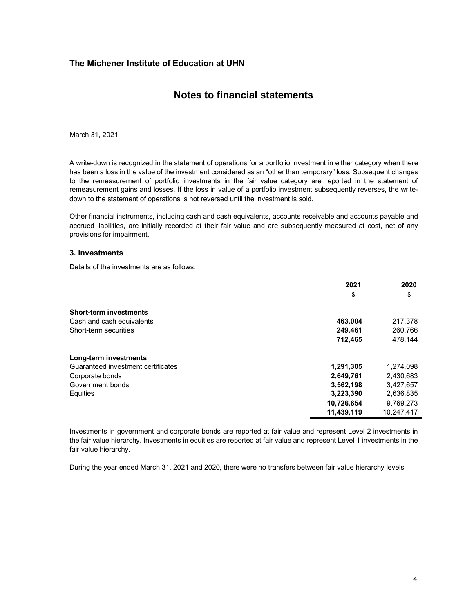# **Notes to financial statements**

March 31, 2021

A write-down is recognized in the statement of operations for a portfolio investment in either category when there has been a loss in the value of the investment considered as an "other than temporary" loss. Subsequent changes to the remeasurement of portfolio investments in the fair value category are reported in the statement of remeasurement gains and losses. If the loss in value of a portfolio investment subsequently reverses, the writedown to the statement of operations is not reversed until the investment is sold.

Other financial instruments, including cash and cash equivalents, accounts receivable and accounts payable and accrued liabilities, are initially recorded at their fair value and are subsequently measured at cost, net of any provisions for impairment.

#### **3. Investments**

Details of the investments are as follows:

|                                    | 2021       | 2020       |
|------------------------------------|------------|------------|
|                                    | \$         | \$         |
| <b>Short-term investments</b>      |            |            |
| Cash and cash equivalents          | 463,004    | 217,378    |
| Short-term securities              | 249,461    | 260,766    |
|                                    | 712,465    | 478.144    |
| Long-term investments              |            |            |
| Guaranteed investment certificates | 1,291,305  | 1,274,098  |
| Corporate bonds                    | 2,649,761  | 2,430,683  |
| Government bonds                   | 3,562,198  | 3,427,657  |
| Equities                           | 3,223,390  | 2,636,835  |
|                                    | 10,726,654 | 9,769,273  |
|                                    | 11,439,119 | 10,247,417 |

Investments in government and corporate bonds are reported at fair value and represent Level 2 investments in the fair value hierarchy. Investments in equities are reported at fair value and represent Level 1 investments in the fair value hierarchy.

During the year ended March 31, 2021 and 2020, there were no transfers between fair value hierarchy levels.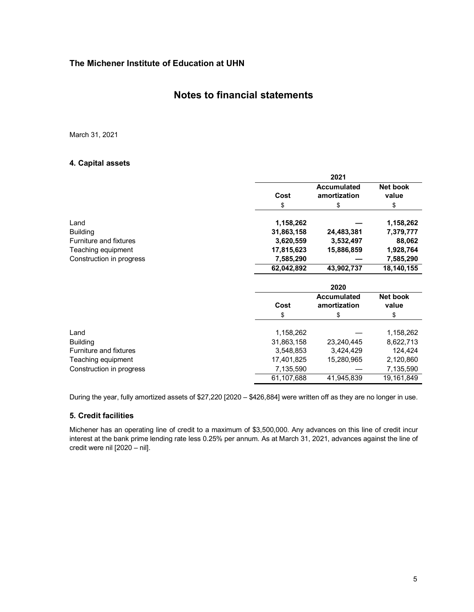### **Notes to financial statements**

March 31, 2021

### **4. Capital assets**

|                               |                         | 2021               |                        |
|-------------------------------|-------------------------|--------------------|------------------------|
|                               |                         | <b>Accumulated</b> | Net book               |
|                               | Cost                    | amortization       | value                  |
|                               | \$                      | \$                 | \$                     |
| Land                          | 1,158,262               |                    | 1,158,262              |
| <b>Building</b>               | 31,863,158              | 24,483,381         | 7,379,777              |
| <b>Furniture and fixtures</b> | 3,620,559               | 3,532,497          | 88,062                 |
| Teaching equipment            | 17,815,623              | 15,886,859         | 1,928,764              |
| Construction in progress      | 7,585,290               |                    | 7,585,290              |
|                               | 62,042,892              | 43,902,737         | 18,140,155             |
|                               |                         | 2020               |                        |
|                               |                         |                    |                        |
|                               |                         | <b>Accumulated</b> | Net book               |
|                               | Cost                    | amortization       | value                  |
|                               | \$                      | \$                 | \$                     |
| Land                          |                         |                    |                        |
| <b>Building</b>               | 1,158,262<br>31,863,158 | 23,240,445         | 1,158,262<br>8,622,713 |
| <b>Furniture and fixtures</b> | 3,548,853               | 3,424,429          | 124,424                |
| Teaching equipment            | 17,401,825              | 15,280,965         | 2,120,860              |
| Construction in progress      | 7,135,590               |                    | 7,135,590              |

During the year, fully amortized assets of \$27,220 [2020 – \$426,884] were written off as they are no longer in use.

### **5. Credit facilities**

Michener has an operating line of credit to a maximum of \$3,500,000. Any advances on this line of credit incur interest at the bank prime lending rate less 0.25% per annum. As at March 31, 2021, advances against the line of credit were nil [2020 – nil].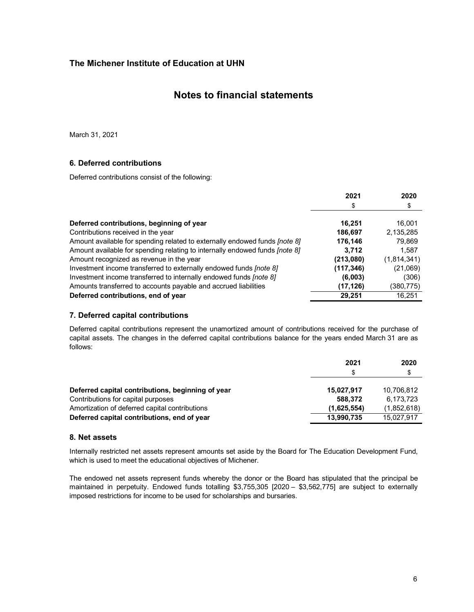### **Notes to financial statements**

March 31, 2021

### **6. Deferred contributions**

Deferred contributions consist of the following:

|                                                                                   | 2021       | 2020        |
|-----------------------------------------------------------------------------------|------------|-------------|
|                                                                                   | \$         | \$          |
|                                                                                   |            |             |
| Deferred contributions, beginning of year                                         | 16.251     | 16,001      |
| Contributions received in the year                                                | 186,697    | 2,135,285   |
| Amount available for spending related to externally endowed funds <i>[note 8]</i> | 176,146    | 79,869      |
| Amount available for spending relating to internally endowed funds [note 8]       | 3,712      | 1,587       |
| Amount recognized as revenue in the year                                          | (213,080)  | (1,814,341) |
| Investment income transferred to externally endowed funds [note 8]                | (117, 346) | (21,069)    |
| Investment income transferred to internally endowed funds [note 8]                | (6,003)    | (306)       |
| Amounts transferred to accounts payable and accrued liabilities                   | (17, 126)  | (380,775)   |
| Deferred contributions, end of year                                               | 29.251     | 16.251      |

### **7. Deferred capital contributions**

Deferred capital contributions represent the unamortized amount of contributions received for the purchase of capital assets. The changes in the deferred capital contributions balance for the years ended March 31 are as follows:

|                                                   | 2021        | 2020        |
|---------------------------------------------------|-------------|-------------|
|                                                   | \$          | \$          |
| Deferred capital contributions, beginning of year | 15,027,917  | 10.706.812  |
| Contributions for capital purposes                | 588.372     | 6.173.723   |
| Amortization of deferred capital contributions    | (1,625,554) | (1,852,618) |
| Deferred capital contributions, end of year       | 13,990,735  | 15,027,917  |

#### **8. Net assets**

Internally restricted net assets represent amounts set aside by the Board for The Education Development Fund, which is used to meet the educational objectives of Michener.

The endowed net assets represent funds whereby the donor or the Board has stipulated that the principal be maintained in perpetuity. Endowed funds totalling \$3,755,305 [2020 – \$3,562,775] are subject to externally imposed restrictions for income to be used for scholarships and bursaries.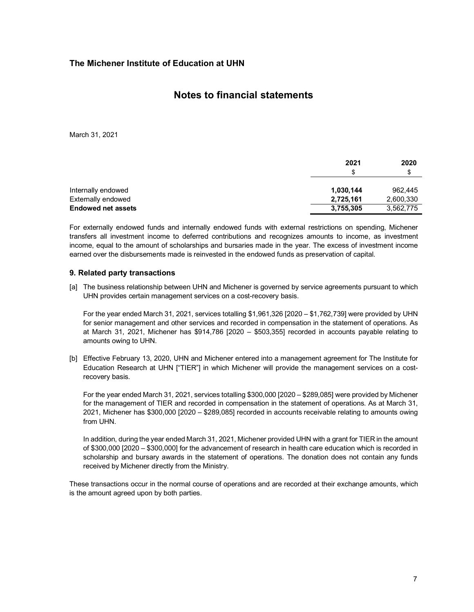### **Notes to financial statements**

March 31, 2021

|                           | 2021      | 2020      |
|---------------------------|-----------|-----------|
|                           | \$        | \$        |
| Internally endowed        | 1,030,144 | 962.445   |
| Externally endowed        | 2,725,161 | 2,600,330 |
| <b>Endowed net assets</b> | 3,755,305 | 3,562,775 |
|                           |           |           |

For externally endowed funds and internally endowed funds with external restrictions on spending, Michener transfers all investment income to deferred contributions and recognizes amounts to income, as investment income, equal to the amount of scholarships and bursaries made in the year. The excess of investment income earned over the disbursements made is reinvested in the endowed funds as preservation of capital.

### **9. Related party transactions**

[a] The business relationship between UHN and Michener is governed by service agreements pursuant to which UHN provides certain management services on a cost-recovery basis.

For the year ended March 31, 2021, services totalling \$1,961,326 [2020 – \$1,762,739] were provided by UHN for senior management and other services and recorded in compensation in the statement of operations. As at March 31, 2021, Michener has \$914,786 [2020 – \$503,355] recorded in accounts payable relating to amounts owing to UHN.

[b] Effective February 13, 2020, UHN and Michener entered into a management agreement for The Institute for Education Research at UHN ["TIER"] in which Michener will provide the management services on a costrecovery basis.

For the year ended March 31, 2021, services totalling \$300,000 [2020 – \$289,085] were provided by Michener for the management of TIER and recorded in compensation in the statement of operations. As at March 31, 2021, Michener has \$300,000 [2020 – \$289,085] recorded in accounts receivable relating to amounts owing from UHN.

In addition, during the year ended March 31, 2021, Michener provided UHN with a grant for TIER in the amount of \$300,000 [2020 – \$300,000] for the advancement of research in health care education which is recorded in scholarship and bursary awards in the statement of operations. The donation does not contain any funds received by Michener directly from the Ministry.

These transactions occur in the normal course of operations and are recorded at their exchange amounts, which is the amount agreed upon by both parties.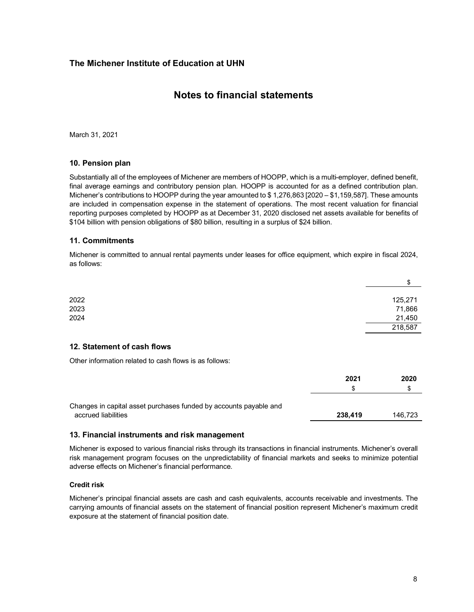# **Notes to financial statements**

March 31, 2021

### **10. Pension plan**

Substantially all of the employees of Michener are members of HOOPP, which is a multi-employer, defined benefit, final average earnings and contributory pension plan. HOOPP is accounted for as a defined contribution plan. Michener's contributions to HOOPP during the year amounted to \$ 1,276,863 [2020 – \$1,159,587]. These amounts are included in compensation expense in the statement of operations. The most recent valuation for financial reporting purposes completed by HOOPP as at December 31, 2020 disclosed net assets available for benefits of \$104 billion with pension obligations of \$80 billion, resulting in a surplus of \$24 billion.

### **11. Commitments**

Michener is committed to annual rental payments under leases for office equipment, which expire in fiscal 2024, as follows:

|      | \$      |
|------|---------|
| 2022 | 125,271 |
| 2023 | 71,866  |
| 2024 | 21,450  |
|      | 218,587 |
|      |         |

#### **12. Statement of cash flows**

Other information related to cash flows is as follows:

|                                                                                          | 2021    | 2020    |
|------------------------------------------------------------------------------------------|---------|---------|
|                                                                                          |         | S       |
| Changes in capital asset purchases funded by accounts payable and<br>accrued liabilities | 238.419 | 146.723 |

### **13. Financial instruments and risk management**

Michener is exposed to various financial risks through its transactions in financial instruments. Michener's overall risk management program focuses on the unpredictability of financial markets and seeks to minimize potential adverse effects on Michener's financial performance.

### **Credit risk**

Michener's principal financial assets are cash and cash equivalents, accounts receivable and investments. The carrying amounts of financial assets on the statement of financial position represent Michener's maximum credit exposure at the statement of financial position date.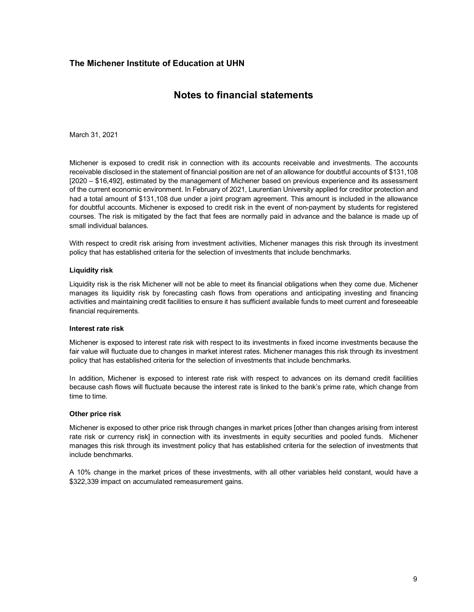# **Notes to financial statements**

March 31, 2021

Michener is exposed to credit risk in connection with its accounts receivable and investments. The accounts receivable disclosed in the statement of financial position are net of an allowance for doubtful accounts of \$131,108 [2020 – \$16,492], estimated by the management of Michener based on previous experience and its assessment of the current economic environment. In February of 2021, Laurentian University applied for creditor protection and had a total amount of \$131,108 due under a joint program agreement. This amount is included in the allowance for doubtful accounts. Michener is exposed to credit risk in the event of non-payment by students for registered courses. The risk is mitigated by the fact that fees are normally paid in advance and the balance is made up of small individual balances.

With respect to credit risk arising from investment activities, Michener manages this risk through its investment policy that has established criteria for the selection of investments that include benchmarks.

#### **Liquidity risk**

Liquidity risk is the risk Michener will not be able to meet its financial obligations when they come due. Michener manages its liquidity risk by forecasting cash flows from operations and anticipating investing and financing activities and maintaining credit facilities to ensure it has sufficient available funds to meet current and foreseeable financial requirements.

#### **Interest rate risk**

Michener is exposed to interest rate risk with respect to its investments in fixed income investments because the fair value will fluctuate due to changes in market interest rates. Michener manages this risk through its investment policy that has established criteria for the selection of investments that include benchmarks.

In addition, Michener is exposed to interest rate risk with respect to advances on its demand credit facilities because cash flows will fluctuate because the interest rate is linked to the bank's prime rate, which change from time to time.

#### **Other price risk**

Michener is exposed to other price risk through changes in market prices [other than changes arising from interest rate risk or currency risk] in connection with its investments in equity securities and pooled funds. Michener manages this risk through its investment policy that has established criteria for the selection of investments that include benchmarks.

A 10% change in the market prices of these investments, with all other variables held constant, would have a \$322,339 impact on accumulated remeasurement gains.